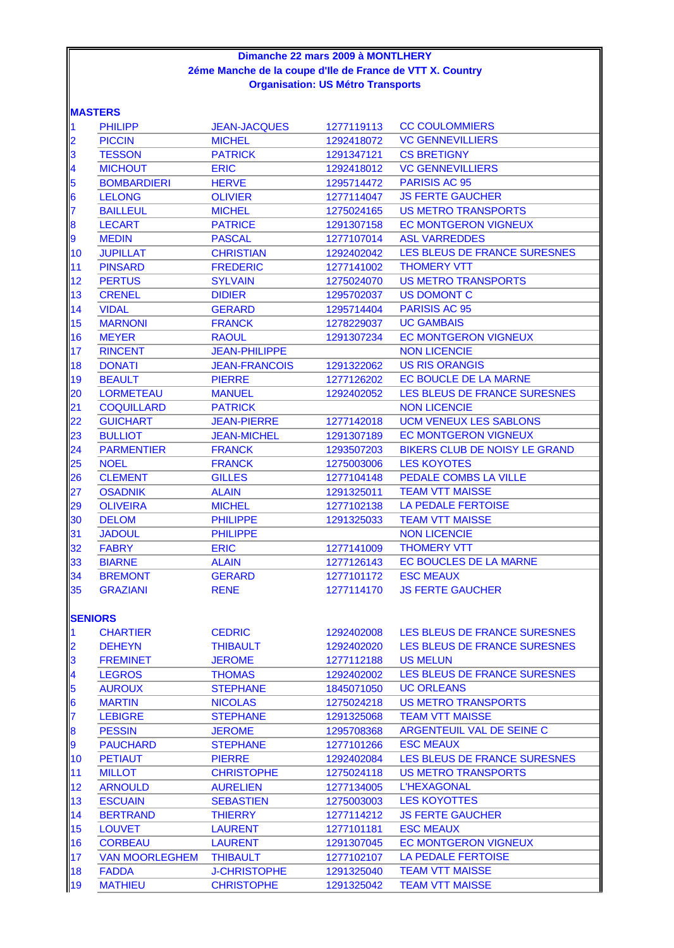## **Dimanche 22 mars 2009 à MONTLHERY 2éme Manche de la coupe d'Ile de France de VTT X. Country Organisation: US Métro Transports**

**MASTERS**

|                                                 | <b>IMASIERS</b>       |                      |            |                               |
|-------------------------------------------------|-----------------------|----------------------|------------|-------------------------------|
| $\mathbf{\Vert}$ 1                              | <b>PHILIPP</b>        | <b>JEAN-JACQUES</b>  | 1277119113 | <b>CC COULOMMIERS</b>         |
|                                                 | <b>PICCIN</b>         | <b>MICHEL</b>        | 1292418072 | <b>VC GENNEVILLIERS</b>       |
| $\begin{array}{c} 2 \\ 3 \\ 4 \\ 5 \end{array}$ | <b>TESSON</b>         | <b>PATRICK</b>       | 1291347121 | <b>CS BRETIGNY</b>            |
|                                                 | <b>MICHOUT</b>        | <b>ERIC</b>          | 1292418012 | <b>VC GENNEVILLIERS</b>       |
|                                                 | <b>BOMBARDIERI</b>    | <b>HERVE</b>         | 1295714472 | <b>PARISIS AC 95</b>          |
| $6\overline{6}$                                 | <b>LELONG</b>         | <b>OLIVIER</b>       | 1277114047 | <b>JS FERTE GAUCHER</b>       |
| 17                                              | <b>BAILLEUL</b>       | <b>MICHEL</b>        | 1275024165 | <b>US METRO TRANSPORTS</b>    |
| 8                                               | <b>LECART</b>         | <b>PATRICE</b>       | 1291307158 | <b>EC MONTGERON VIGNEUX</b>   |
| 9                                               | <b>MEDIN</b>          | <b>PASCAL</b>        | 1277107014 | <b>ASL VARREDDES</b>          |
| 10                                              | <b>JUPILLAT</b>       | <b>CHRISTIAN</b>     | 1292402042 | LES BLEUS DE FRANCE SURESNES  |
| 11                                              | <b>PINSARD</b>        | <b>FREDERIC</b>      | 1277141002 | <b>THOMERY VTT</b>            |
| 12                                              | <b>PERTUS</b>         | <b>SYLVAIN</b>       | 1275024070 | <b>US METRO TRANSPORTS</b>    |
| 13                                              | <b>CRENEL</b>         | <b>DIDIER</b>        | 1295702037 | <b>US DOMONT C</b>            |
| 14                                              | <b>VIDAL</b>          | <b>GERARD</b>        | 1295714404 | <b>PARISIS AC 95</b>          |
| 15                                              | <b>MARNONI</b>        | <b>FRANCK</b>        | 1278229037 | <b>UC GAMBAIS</b>             |
| <b>16</b>                                       | <b>MEYER</b>          | <b>RAOUL</b>         | 1291307234 | <b>EC MONTGERON VIGNEUX</b>   |
| 17                                              | <b>RINCENT</b>        | <b>JEAN-PHILIPPE</b> |            | <b>NON LICENCIE</b>           |
| 18                                              | <b>DONATI</b>         | <b>JEAN-FRANCOIS</b> | 1291322062 | <b>US RIS ORANGIS</b>         |
| 19                                              | <b>BEAULT</b>         | <b>PIERRE</b>        | 1277126202 | EC BOUCLE DE LA MARNE         |
| 20                                              | <b>LORMETEAU</b>      | <b>MANUEL</b>        | 1292402052 | LES BLEUS DE FRANCE SURESNES  |
| 21                                              | <b>COQUILLARD</b>     | <b>PATRICK</b>       |            | <b>NON LICENCIE</b>           |
| 22                                              | <b>GUICHART</b>       | <b>JEAN-PIERRE</b>   | 1277142018 | <b>UCM VENEUX LES SABLONS</b> |
| 23                                              | <b>BULLIOT</b>        | <b>JEAN-MICHEL</b>   | 1291307189 | <b>EC MONTGERON VIGNEUX</b>   |
| 24                                              | <b>PARMENTIER</b>     | <b>FRANCK</b>        | 1293507203 | BIKERS CLUB DE NOISY LE GRAND |
|                                                 |                       |                      |            | <b>LES KOYOTES</b>            |
| 25                                              | <b>NOEL</b>           | <b>FRANCK</b>        | 1275003006 | PEDALE COMBS LA VILLE         |
| 26                                              | <b>CLEMENT</b>        | <b>GILLES</b>        | 1277104148 |                               |
| 27                                              | <b>OSADNIK</b>        | <b>ALAIN</b>         | 1291325011 | <b>TEAM VTT MAISSE</b>        |
| 29                                              | <b>OLIVEIRA</b>       | <b>MICHEL</b>        | 1277102138 | LA PEDALE FERTOISE            |
| 30                                              | <b>DELOM</b>          | <b>PHILIPPE</b>      | 1291325033 | <b>TEAM VTT MAISSE</b>        |
| 31                                              | <b>JADOUL</b>         | <b>PHILIPPE</b>      |            | <b>NON LICENCIE</b>           |
| 32                                              | <b>FABRY</b>          | <b>ERIC</b>          | 1277141009 | <b>THOMERY VTT</b>            |
| 33                                              | <b>BIARNE</b>         | <b>ALAIN</b>         | 1277126143 | <b>EC BOUCLES DE LA MARNE</b> |
| 34                                              | <b>BREMONT</b>        | <b>GERARD</b>        | 1277101172 | <b>ESC MEAUX</b>              |
| 35                                              | <b>GRAZIANI</b>       | <b>RENE</b>          | 1277114170 | <b>JS FERTE GAUCHER</b>       |
|                                                 |                       |                      |            |                               |
|                                                 | <b>SENIORS</b>        |                      |            |                               |
| $\mathsf{I}^1$                                  | <b>CHARTIER</b>       | <b>CEDRIC</b>        | 1292402008 | LES BLEUS DE FRANCE SURESNES  |
| 2                                               | <b>DEHEYN</b>         | <b>THIBAULT</b>      | 1292402020 | LES BLEUS DE FRANCE SURESNES  |
| 3                                               | <b>FREMINET</b>       | <b>JEROME</b>        | 1277112188 | <b>US MELUN</b>               |
| 4<br>5<br>6<br>7                                | <b>LEGROS</b>         | <b>THOMAS</b>        | 1292402002 | LES BLEUS DE FRANCE SURESNES  |
|                                                 | <b>AUROUX</b>         | <b>STEPHANE</b>      | 1845071050 | <b>UC ORLEANS</b>             |
|                                                 | <b>MARTIN</b>         | <b>NICOLAS</b>       | 1275024218 | <b>US METRO TRANSPORTS</b>    |
|                                                 | <b>LEBIGRE</b>        | <b>STEPHANE</b>      | 1291325068 | <b>TEAM VTT MAISSE</b>        |
| $\begin{array}{c} 8 \\ 9 \end{array}$           | <b>PESSIN</b>         | <b>JEROME</b>        | 1295708368 | ARGENTEUIL VAL DE SEINE C     |
|                                                 | <b>PAUCHARD</b>       | <b>STEPHANE</b>      | 1277101266 | <b>ESC MEAUX</b>              |
| 10                                              | <b>PETIAUT</b>        | <b>PIERRE</b>        | 1292402084 | LES BLEUS DE FRANCE SURESNES  |
| 11                                              | <b>MILLOT</b>         | <b>CHRISTOPHE</b>    | 1275024118 | <b>US METRO TRANSPORTS</b>    |
| 12                                              | <b>ARNOULD</b>        | <b>AURELIEN</b>      | 1277134005 | <b>L'HEXAGONAL</b>            |
| 13                                              | <b>ESCUAIN</b>        | <b>SEBASTIEN</b>     | 1275003003 | <b>LES KOYOTTES</b>           |
| 14                                              | <b>BERTRAND</b>       | <b>THIERRY</b>       | 1277114212 | <b>JS FERTE GAUCHER</b>       |
| 15                                              | <b>LOUVET</b>         | <b>LAURENT</b>       | 1277101181 | <b>ESC MEAUX</b>              |
| <b>16</b>                                       | <b>CORBEAU</b>        | <b>LAURENT</b>       | 1291307045 | <b>EC MONTGERON VIGNEUX</b>   |
| 17                                              | <b>VAN MOORLEGHEM</b> | <b>THIBAULT</b>      | 1277102107 | <b>LA PEDALE FERTOISE</b>     |
| 18                                              | <b>FADDA</b>          | <b>J-CHRISTOPHE</b>  | 1291325040 | <b>TEAM VTT MAISSE</b>        |
| 19                                              | <b>MATHIEU</b>        | <b>CHRISTOPHE</b>    | 1291325042 | <b>TEAM VTT MAISSE</b>        |
|                                                 |                       |                      |            |                               |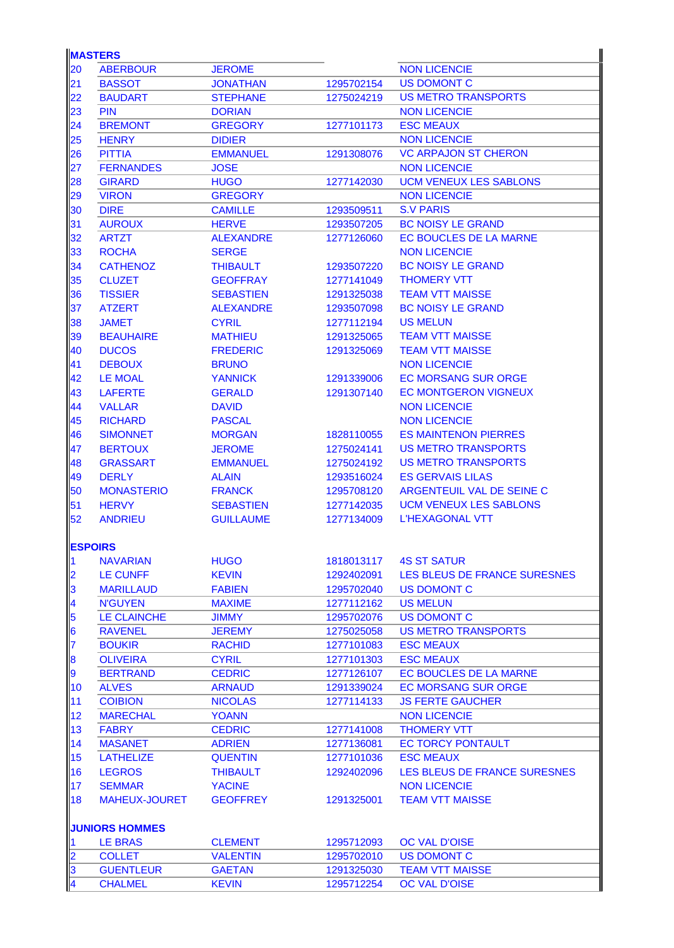|                      | <b>MASTERS</b>                        |                                  |                          |                                               |
|----------------------|---------------------------------------|----------------------------------|--------------------------|-----------------------------------------------|
| 20                   | <b>ABERBOUR</b>                       | <b>JEROME</b>                    |                          | <b>NON LICENCIE</b>                           |
| 21                   | <b>BASSOT</b>                         | <b>JONATHAN</b>                  | 1295702154               | <b>US DOMONT C</b>                            |
| 22                   | <b>BAUDART</b>                        | <b>STEPHANE</b>                  | 1275024219               | <b>US METRO TRANSPORTS</b>                    |
| 23                   | <b>PIN</b>                            | <b>DORIAN</b>                    |                          | <b>NON LICENCIE</b>                           |
| 24                   | <b>BREMONT</b>                        | <b>GREGORY</b>                   | 1277101173               | <b>ESC MEAUX</b>                              |
| 25                   | <b>HENRY</b>                          | <b>DIDIER</b>                    |                          | <b>NON LICENCIE</b>                           |
| 26                   | <b>PITTIA</b>                         | <b>EMMANUEL</b>                  | 1291308076               | <b>VC ARPAJON ST CHERON</b>                   |
| 27                   | <b>FERNANDES</b>                      | <b>JOSE</b>                      |                          | <b>NON LICENCIE</b>                           |
| 28                   | <b>GIRARD</b>                         | <b>HUGO</b>                      | 1277142030               | <b>UCM VENEUX LES SABLONS</b>                 |
| 29                   | <b>VIRON</b>                          | <b>GREGORY</b>                   |                          | <b>NON LICENCIE</b>                           |
| 30                   | <b>DIRE</b>                           | <b>CAMILLE</b>                   | 1293509511               | <b>S.V PARIS</b>                              |
| 31                   | <b>AUROUX</b>                         | <b>HERVE</b>                     | 1293507205               | <b>BC NOISY LE GRAND</b>                      |
| 32                   | <b>ARTZT</b>                          | <b>ALEXANDRE</b>                 | 1277126060               | EC BOUCLES DE LA MARNE                        |
|                      |                                       |                                  |                          |                                               |
| 33                   | <b>ROCHA</b>                          | <b>SERGE</b>                     |                          | <b>NON LICENCIE</b>                           |
| 34                   | <b>CATHENOZ</b>                       | <b>THIBAULT</b>                  | 1293507220               | <b>BC NOISY LE GRAND</b>                      |
| 35                   | <b>CLUZET</b>                         | <b>GEOFFRAY</b>                  | 1277141049               | <b>THOMERY VTT</b>                            |
| 36                   | <b>TISSIER</b>                        | <b>SEBASTIEN</b>                 | 1291325038               | <b>TEAM VTT MAISSE</b>                        |
| 37                   | <b>ATZERT</b>                         | <b>ALEXANDRE</b>                 | 1293507098               | <b>BC NOISY LE GRAND</b>                      |
| 38                   | <b>JAMET</b>                          | <b>CYRIL</b>                     | 1277112194               | <b>US MELUN</b>                               |
| 39                   | <b>BEAUHAIRE</b>                      | <b>MATHIEU</b>                   | 1291325065               | <b>TEAM VTT MAISSE</b>                        |
| 40                   | <b>DUCOS</b>                          | <b>FREDERIC</b>                  | 1291325069               | <b>TEAM VTT MAISSE</b>                        |
| 41                   | <b>DEBOUX</b>                         | <b>BRUNO</b>                     |                          | <b>NON LICENCIE</b>                           |
| 42                   | <b>LE MOAL</b>                        | <b>YANNICK</b>                   | 1291339006               | <b>EC MORSANG SUR ORGE</b>                    |
| 43                   | <b>LAFERTE</b>                        | <b>GERALD</b>                    | 1291307140               | <b>EC MONTGERON VIGNEUX</b>                   |
| 44                   | <b>VALLAR</b>                         | <b>DAVID</b>                     |                          | <b>NON LICENCIE</b>                           |
| 45                   | <b>RICHARD</b>                        | <b>PASCAL</b>                    |                          | <b>NON LICENCIE</b>                           |
| 46                   | <b>SIMONNET</b>                       | <b>MORGAN</b>                    | 1828110055               | <b>ES MAINTENON PIERRES</b>                   |
| 47                   | <b>BERTOUX</b>                        | <b>JEROME</b>                    | 1275024141               | <b>US METRO TRANSPORTS</b>                    |
| 48                   | <b>GRASSART</b>                       | <b>EMMANUEL</b>                  | 1275024192               | <b>US METRO TRANSPORTS</b>                    |
| 49                   | <b>DERLY</b>                          | <b>ALAIN</b>                     | 1293516024               | <b>ES GERVAIS LILAS</b>                       |
| 50                   | <b>MONASTERIO</b>                     | <b>FRANCK</b>                    | 1295708120               | ARGENTEUIL VAL DE SEINE C                     |
| 51                   | <b>HERVY</b>                          | <b>SEBASTIEN</b>                 | 1277142035               | <b>UCM VENEUX LES SABLONS</b>                 |
| 52                   | <b>ANDRIEU</b>                        | <b>GUILLAUME</b>                 | 1277134009               | <b>L'HEXAGONAL VTT</b>                        |
|                      | <b>ESPOIRS</b>                        |                                  |                          |                                               |
| $\mathbf{I}$         | <b>NAVARIAN</b>                       | <b>HUGO</b>                      | 1818013117               | <b>4S ST SATUR</b>                            |
| 2                    | <b>LE CUNFF</b>                       | <b>KEVIN</b>                     | 1292402091               | LES BLEUS DE FRANCE SURESNES                  |
| $\vert$ <sub>3</sub> | <b>MARILLAUD</b>                      | <b>FABIEN</b>                    | 1295702040               | <b>US DOMONT C</b>                            |
|                      | <b>N'GUYEN</b>                        | <b>MAXIME</b>                    | 1277112162               | <b>US MELUN</b>                               |
| 4567                 | LE CLAINCHE                           | <b>JIMMY</b>                     | 1295702076               | <b>US DOMONT C</b>                            |
|                      | <b>RAVENEL</b>                        | <b>JEREMY</b>                    | 1275025058               | <b>US METRO TRANSPORTS</b>                    |
|                      | <b>BOUKIR</b>                         | <b>RACHID</b>                    | 1277101083               | <b>ESC MEAUX</b>                              |
| 8                    | <b>OLIVEIRA</b>                       | <b>CYRIL</b>                     | 1277101303               | <b>ESC MEAUX</b>                              |
| 9                    | <b>BERTRAND</b>                       | <b>CEDRIC</b>                    | 1277126107               | EC BOUCLES DE LA MARNE                        |
| 10                   | <b>ALVES</b>                          | <b>ARNAUD</b>                    | 1291339024               | <b>EC MORSANG SUR ORGE</b>                    |
| 11                   | <b>COIBION</b>                        | <b>NICOLAS</b>                   | 1277114133               | <b>JS FERTE GAUCHER</b>                       |
| 12                   | <b>MARECHAL</b>                       | <b>YOANN</b>                     |                          | <b>NON LICENCIE</b>                           |
| 13                   | <b>FABRY</b>                          | <b>CEDRIC</b>                    | 1277141008               | <b>THOMERY VTT</b>                            |
| 14                   | <b>MASANET</b>                        |                                  | 1277136081               | <b>EC TORCY PONTAULT</b>                      |
|                      |                                       | <b>ADRIEN</b>                    |                          | <b>ESC MEAUX</b>                              |
| 15<br>16             | <b>LATHELIZE</b>                      | <b>QUENTIN</b>                   | 1277101036<br>1292402096 | LES BLEUS DE FRANCE SURESNES                  |
|                      | <b>LEGROS</b>                         | <b>THIBAULT</b>                  |                          |                                               |
| 17<br>18             | <b>SEMMAR</b><br><b>MAHEUX-JOURET</b> | <b>YACINE</b><br><b>GEOFFREY</b> | 1291325001               | <b>NON LICENCIE</b><br><b>TEAM VTT MAISSE</b> |
|                      |                                       |                                  |                          |                                               |
|                      | <b>JUNIORS HOMMES</b>                 |                                  |                          |                                               |
| 11                   | <b>LE BRAS</b>                        | <b>CLEMENT</b>                   | 1295712093               | OC VAL D'OISE                                 |
| 2                    | <b>COLLET</b>                         | <b>VALENTIN</b>                  | 1295702010               | <b>US DOMONT C</b>                            |
| 3                    | <b>GUENTLEUR</b>                      | <b>GAETAN</b>                    | 1291325030               | <b>TEAM VTT MAISSE</b>                        |
| $\vert 4$            | <b>CHALMEL</b>                        | <b>KEVIN</b>                     | 1295712254               | OC VAL D'OISE                                 |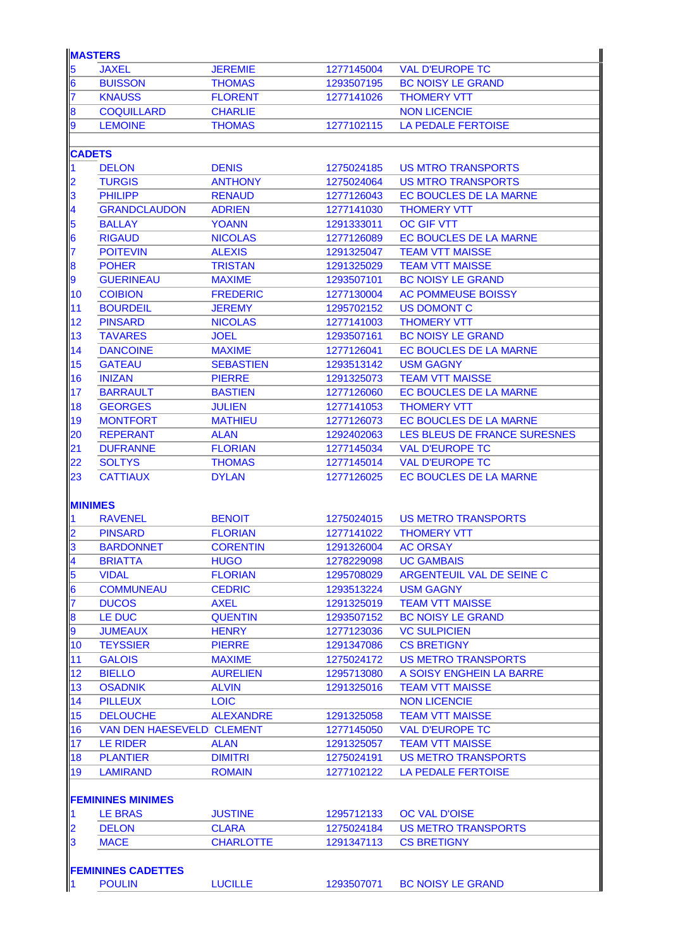|                         | <b>MASTERS</b>            |                  |            |                                                  |  |  |
|-------------------------|---------------------------|------------------|------------|--------------------------------------------------|--|--|
| 5                       | <b>JAXEL</b>              | <b>JEREMIE</b>   | 1277145004 | <b>VAL D'EUROPE TC</b>                           |  |  |
| $6\phantom{a}$          | <b>BUISSON</b>            | <b>THOMAS</b>    | 1293507195 | <b>BC NOISY LE GRAND</b>                         |  |  |
| $\overline{7}$          | <b>KNAUSS</b>             | <b>FLORENT</b>   | 1277141026 | <b>THOMERY VTT</b>                               |  |  |
| 8                       | <b>COQUILLARD</b>         | <b>CHARLIE</b>   |            | <b>NON LICENCIE</b>                              |  |  |
| 9                       | <b>LEMOINE</b>            | <b>THOMAS</b>    | 1277102115 | <b>LA PEDALE FERTOISE</b>                        |  |  |
|                         |                           |                  |            |                                                  |  |  |
| <b>CADETS</b>           |                           |                  |            |                                                  |  |  |
| 11                      | <b>DELON</b>              | <b>DENIS</b>     | 1275024185 | <b>US MTRO TRANSPORTS</b>                        |  |  |
| $\overline{\mathbf{2}}$ | <b>TURGIS</b>             | <b>ANTHONY</b>   | 1275024064 | <b>US MTRO TRANSPORTS</b>                        |  |  |
| $\overline{\mathbf{3}}$ | <b>PHILIPP</b>            | <b>RENAUD</b>    | 1277126043 | EC BOUCLES DE LA MARNE                           |  |  |
|                         | <b>GRANDCLAUDON</b>       | <b>ADRIEN</b>    | 1277141030 | <b>THOMERY VTT</b>                               |  |  |
| $\frac{4}{5}$           | <b>BALLAY</b>             | <b>YOANN</b>     | 1291333011 | <b>OC GIF VTT</b>                                |  |  |
| 6                       | <b>RIGAUD</b>             | <b>NICOLAS</b>   | 1277126089 | EC BOUCLES DE LA MARNE                           |  |  |
| 17                      | <b>POITEVIN</b>           | <b>ALEXIS</b>    | 1291325047 | <b>TEAM VTT MAISSE</b>                           |  |  |
| 8                       | <b>POHER</b>              | <b>TRISTAN</b>   | 1291325029 | <b>TEAM VTT MAISSE</b>                           |  |  |
| $\overline{9}$          | <b>GUERINEAU</b>          | <b>MAXIME</b>    | 1293507101 | <b>BC NOISY LE GRAND</b>                         |  |  |
| 10                      | <b>COIBION</b>            | <b>FREDERIC</b>  | 1277130004 | <b>AC POMMEUSE BOISSY</b>                        |  |  |
| 11                      | <b>BOURDEIL</b>           | <b>JEREMY</b>    | 1295702152 | <b>US DOMONT C</b>                               |  |  |
| 12                      | <b>PINSARD</b>            | <b>NICOLAS</b>   | 1277141003 | <b>THOMERY VTT</b>                               |  |  |
| 13                      | <b>TAVARES</b>            | <b>JOEL</b>      | 1293507161 | <b>BC NOISY LE GRAND</b>                         |  |  |
| 14                      | <b>DANCOINE</b>           | <b>MAXIME</b>    | 1277126041 | EC BOUCLES DE LA MARNE                           |  |  |
| 15                      | <b>GATEAU</b>             | <b>SEBASTIEN</b> | 1293513142 | <b>USM GAGNY</b>                                 |  |  |
| 16                      | <b>INIZAN</b>             | <b>PIERRE</b>    | 1291325073 | <b>TEAM VTT MAISSE</b>                           |  |  |
| 17                      | <b>BARRAULT</b>           | <b>BASTIEN</b>   | 1277126060 | EC BOUCLES DE LA MARNE                           |  |  |
| 18                      | <b>GEORGES</b>            | <b>JULIEN</b>    | 1277141053 | <b>THOMERY VTT</b>                               |  |  |
| 19                      | <b>MONTFORT</b>           | <b>MATHIEU</b>   | 1277126073 | EC BOUCLES DE LA MARNE                           |  |  |
|                         | <b>REPERANT</b>           | <b>ALAN</b>      | 1292402063 | LES BLEUS DE FRANCE SURESNES                     |  |  |
| 20                      |                           |                  |            |                                                  |  |  |
| 21                      | <b>DUFRANNE</b>           | <b>FLORIAN</b>   | 1277145034 | <b>VAL D'EUROPE TC</b>                           |  |  |
| 22                      | <b>SOLTYS</b>             | <b>THOMAS</b>    | 1277145014 | <b>VAL D'EUROPE TC</b>                           |  |  |
| 23                      | <b>CATTIAUX</b>           | <b>DYLAN</b>     | 1277126025 | EC BOUCLES DE LA MARNE                           |  |  |
| <b>MINIMES</b>          |                           |                  |            |                                                  |  |  |
|                         | <b>RAVENEL</b>            |                  |            |                                                  |  |  |
| 11                      |                           | <b>BENOIT</b>    | 1275024015 | <b>US METRO TRANSPORTS</b><br><b>THOMERY VTT</b> |  |  |
| $\overline{2}$          | <b>PINSARD</b>            | <b>FLORIAN</b>   | 1277141022 |                                                  |  |  |
| $\overline{3}$          | <b>BARDONNET</b>          | <b>CORENTIN</b>  | 1291326004 | <b>AC ORSAY</b>                                  |  |  |
| $\vert 4$               | <b>BRIATTA</b>            | <b>HUGO</b>      | 1278229098 | <b>UC GAMBAIS</b>                                |  |  |
| 5                       | <b>VIDAL</b>              | <b>FLORIAN</b>   | 1295708029 | ARGENTEUIL VAL DE SEINE C                        |  |  |
| $\overline{\bullet}$    | <b>COMMUNEAU</b>          | <b>CEDRIC</b>    | 1293513224 | <b>USM GAGNY</b>                                 |  |  |
| $\overline{7}$          | <b>DUCOS</b>              | <b>AXEL</b>      | 1291325019 | <b>TEAM VTT MAISSE</b>                           |  |  |
| 8                       | LE DUC                    | <b>QUENTIN</b>   | 1293507152 | <b>BC NOISY LE GRAND</b>                         |  |  |
| $\overline{9}$          | <b>JUMEAUX</b>            | <b>HENRY</b>     | 1277123036 | <b>VC SULPICIEN</b>                              |  |  |
| 10                      | <b>TEYSSIER</b>           | <b>PIERRE</b>    | 1291347086 | <b>CS BRETIGNY</b>                               |  |  |
| 11                      | <b>GALOIS</b>             | <b>MAXIME</b>    | 1275024172 | <b>US METRO TRANSPORTS</b>                       |  |  |
| 12                      | <b>BIELLO</b>             | <b>AURELIEN</b>  | 1295713080 | A SOISY ENGHEIN LA BARRE                         |  |  |
| 13                      | <b>OSADNIK</b>            | <b>ALVIN</b>     | 1291325016 | <b>TEAM VTT MAISSE</b>                           |  |  |
| 14                      | <b>PILLEUX</b>            | <b>LOIC</b>      |            | <b>NON LICENCIE</b>                              |  |  |
| 15                      | <b>DELOUCHE</b>           | <b>ALEXANDRE</b> | 1291325058 | <b>TEAM VTT MAISSE</b>                           |  |  |
| 16                      | VAN DEN HAESEVELD CLEMENT |                  | 1277145050 | <b>VAL D'EUROPE TC</b>                           |  |  |
| 17                      | <b>LE RIDER</b>           | <b>ALAN</b>      | 1291325057 | <b>TEAM VTT MAISSE</b>                           |  |  |
| 18                      | <b>PLANTIER</b>           | <b>DIMITRI</b>   | 1275024191 | <b>US METRO TRANSPORTS</b>                       |  |  |
| 19                      | <b>LAMIRAND</b>           | <b>ROMAIN</b>    | 1277102122 | <b>LA PEDALE FERTOISE</b>                        |  |  |
|                         |                           |                  |            |                                                  |  |  |
|                         | <b>FEMININES MINIMES</b>  |                  |            |                                                  |  |  |
| 11                      | <b>LE BRAS</b>            | <b>JUSTINE</b>   | 1295712133 | <b>OC VAL D'OISE</b>                             |  |  |
| $\overline{\mathbf{2}}$ | <b>DELON</b>              | <b>CLARA</b>     | 1275024184 | <b>US METRO TRANSPORTS</b>                       |  |  |
| 3                       | <b>MACE</b>               | <b>CHARLOTTE</b> | 1291347113 | <b>CS BRETIGNY</b>                               |  |  |
|                         |                           |                  |            |                                                  |  |  |
|                         | <b>FEMININES CADETTES</b> |                  |            |                                                  |  |  |
| $\mathsf{I}$            | <b>POULIN</b>             | <b>LUCILLE</b>   | 1293507071 | <b>BC NOISY LE GRAND</b>                         |  |  |